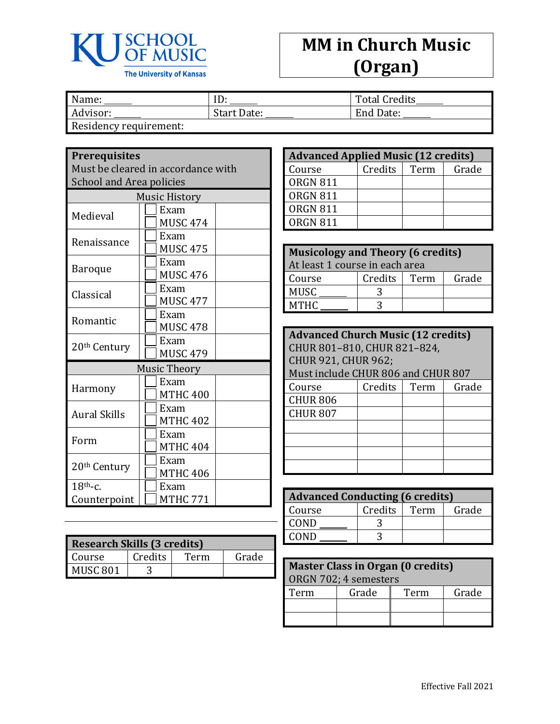

## **MM in Church Music (Organ)**

| Name:                  | ID          | <b>Total Credits</b> |
|------------------------|-------------|----------------------|
| Advisor:               | Start Date: | End Date:            |
| Residency requirement: |             |                      |

## **Prerequisites**

Must be cleared in accordance with School and Area policies

| $J$ uluuluu rii cu       |                 |  |  |
|--------------------------|-----------------|--|--|
| <b>Music History</b>     |                 |  |  |
| Medieval                 | Exam            |  |  |
|                          | <b>MUSC 474</b> |  |  |
| Renaissance              | Exam            |  |  |
|                          | <b>MUSC 475</b> |  |  |
| <b>Baroque</b>           | Exam            |  |  |
|                          | <b>MUSC 476</b> |  |  |
| Classical                | Exam            |  |  |
|                          | <b>MUSC 477</b> |  |  |
| Romantic                 | Exam            |  |  |
|                          | <b>MUSC 478</b> |  |  |
| 20 <sup>th</sup> Century | Exam            |  |  |
|                          | <b>MUSC 479</b> |  |  |
|                          | Music Theory    |  |  |
|                          | Exam            |  |  |
| Harmony                  | <b>MTHC 400</b> |  |  |
| <b>Aural Skills</b>      | Exam            |  |  |
|                          | <b>MTHC 402</b> |  |  |
| Form                     | Exam            |  |  |
|                          | <b>MTHC 404</b> |  |  |
| 20 <sup>th</sup> Century | Exam            |  |  |
|                          | <b>MTHC 406</b> |  |  |
| $18th$ -c.               | Exam            |  |  |
| Counterpoint             | <b>MTHC 771</b> |  |  |

| <b>Research Skills (3 credits)</b> |         |      |       |
|------------------------------------|---------|------|-------|
| Course                             | Credits | Term | Grade |
| MUSC <sub>801</sub>                |         |      |       |

| <b>Advanced Applied Music (12 credits)</b> |         |      |       |
|--------------------------------------------|---------|------|-------|
| Course                                     | Credits | Term | Grade |
| <b>ORGN 811</b>                            |         |      |       |
| <b>ORGN 811</b>                            |         |      |       |
| <b>ORGN 811</b>                            |         |      |       |
| ORGN 811                                   |         |      |       |

| <b>Musicology and Theory (6 credits)</b><br>At least 1 course in each area |  |  |  |  |
|----------------------------------------------------------------------------|--|--|--|--|
| Credits<br>Grade<br>Term<br>Course                                         |  |  |  |  |
| MUSC                                                                       |  |  |  |  |
| MTHC                                                                       |  |  |  |  |

| <b>Advanced Church Music (12 credits)</b> |                             |      |       |  |
|-------------------------------------------|-----------------------------|------|-------|--|
|                                           | CHUR 801-810, CHUR 821-824, |      |       |  |
| <b>CHUR 921, CHUR 962;</b>                |                             |      |       |  |
| Must include CHUR 806 and CHUR 807        |                             |      |       |  |
| Course                                    | Credits                     | Term | Grade |  |
| <b>CHUR 806</b>                           |                             |      |       |  |
| <b>CHUR 807</b>                           |                             |      |       |  |
|                                           |                             |      |       |  |
|                                           |                             |      |       |  |
|                                           |                             |      |       |  |
|                                           |                             |      |       |  |

| <b>Advanced Conducting (6 credits)</b> |         |      |       |  |
|----------------------------------------|---------|------|-------|--|
| Course                                 | Credits | Term | Grade |  |
| COND                                   |         |      |       |  |
| COND                                   |         |      |       |  |

| Master Class in Organ (0 credits)<br>ORGN 702; 4 semesters |       |      |       |
|------------------------------------------------------------|-------|------|-------|
| Term                                                       | Grade | Term | Grade |
|                                                            |       |      |       |
|                                                            |       |      |       |